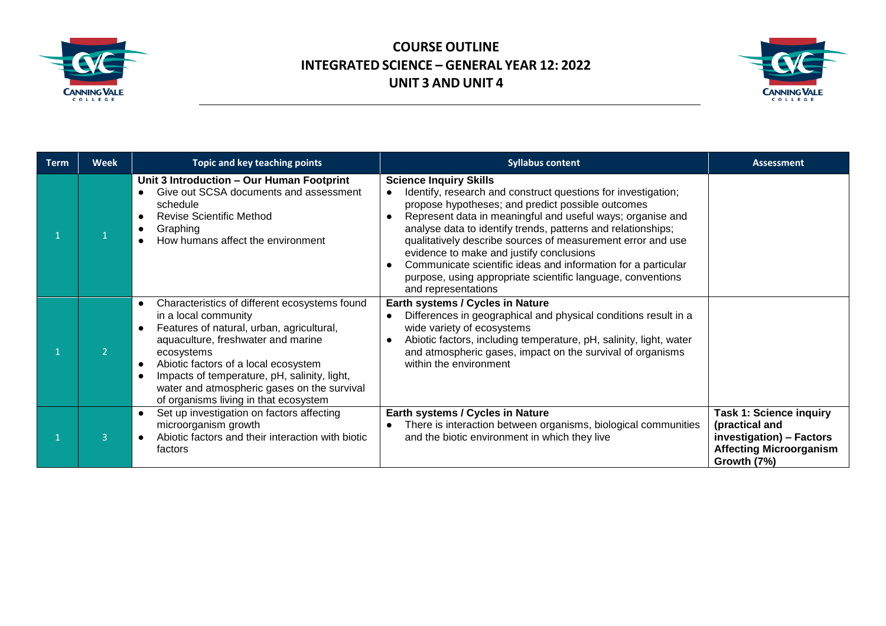



| <b>Term</b> | <b>Week</b>    | Topic and key teaching points                                                                                                                                                                                                                                                                                                                                                                              | <b>Syllabus content</b>                                                                                                                                                                                                                                                                                                                                                                                                                                                                                                                                                       | <b>Assessment</b>                                                                                                             |
|-------------|----------------|------------------------------------------------------------------------------------------------------------------------------------------------------------------------------------------------------------------------------------------------------------------------------------------------------------------------------------------------------------------------------------------------------------|-------------------------------------------------------------------------------------------------------------------------------------------------------------------------------------------------------------------------------------------------------------------------------------------------------------------------------------------------------------------------------------------------------------------------------------------------------------------------------------------------------------------------------------------------------------------------------|-------------------------------------------------------------------------------------------------------------------------------|
|             |                | Unit 3 Introduction - Our Human Footprint<br>Give out SCSA documents and assessment<br>schedule<br><b>Revise Scientific Method</b><br>$\bullet$<br>Graphing<br>How humans affect the environment<br>$\bullet$                                                                                                                                                                                              | <b>Science Inquiry Skills</b><br>Identify, research and construct questions for investigation;<br>propose hypotheses; and predict possible outcomes<br>Represent data in meaningful and useful ways; organise and<br>$\bullet$<br>analyse data to identify trends, patterns and relationships;<br>qualitatively describe sources of measurement error and use<br>evidence to make and justify conclusions<br>Communicate scientific ideas and information for a particular<br>$\bullet$<br>purpose, using appropriate scientific language, conventions<br>and representations |                                                                                                                               |
|             | $\mathcal{P}$  | Characteristics of different ecosystems found<br>$\bullet$<br>in a local community<br>Features of natural, urban, agricultural,<br>$\bullet$<br>aquaculture, freshwater and marine<br>ecosystems<br>Abiotic factors of a local ecosystem<br>$\bullet$<br>Impacts of temperature, pH, salinity, light,<br>$\bullet$<br>water and atmospheric gases on the survival<br>of organisms living in that ecosystem | Earth systems / Cycles in Nature<br>Differences in geographical and physical conditions result in a<br>wide variety of ecosystems<br>Abiotic factors, including temperature, pH, salinity, light, water<br>$\bullet$<br>and atmospheric gases, impact on the survival of organisms<br>within the environment                                                                                                                                                                                                                                                                  |                                                                                                                               |
|             | $\overline{3}$ | Set up investigation on factors affecting<br>$\bullet$<br>microorganism growth<br>Abiotic factors and their interaction with biotic<br>factors                                                                                                                                                                                                                                                             | Earth systems / Cycles in Nature<br>There is interaction between organisms, biological communities<br>and the biotic environment in which they live                                                                                                                                                                                                                                                                                                                                                                                                                           | <b>Task 1: Science inquiry</b><br>(practical and<br>investigation) - Factors<br><b>Affecting Microorganism</b><br>Growth (7%) |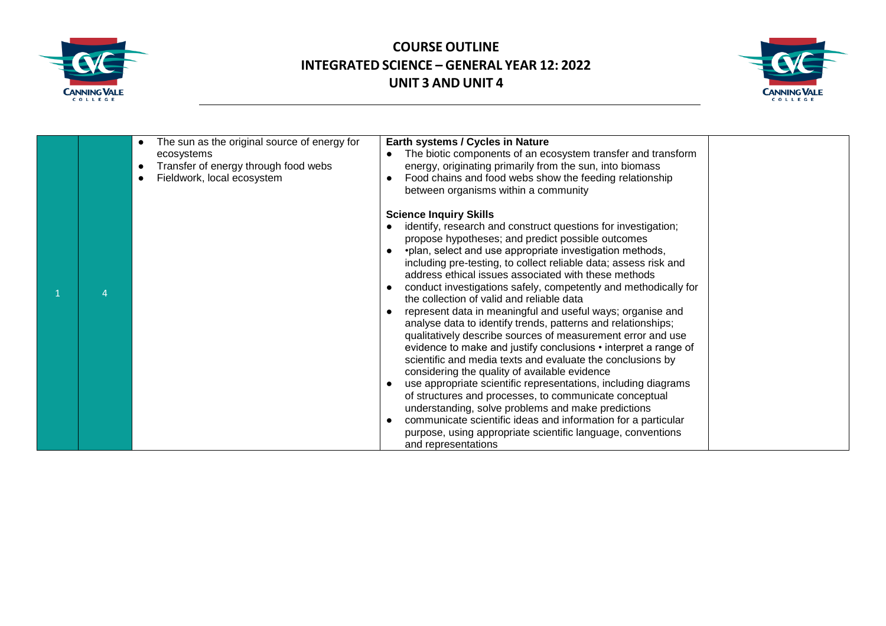



|  | The sun as the original source of energy for<br>ecosystems<br>Transfer of energy through food webs<br>Fieldwork, local ecosystem | Earth systems / Cycles in Nature<br>The biotic components of an ecosystem transfer and transform<br>energy, originating primarily from the sun, into biomass<br>Food chains and food webs show the feeding relationship<br>between organisms within a community                                                                                                                                                                                                                                                                                                                                                                                                                                                                                                                                                                                                                                                                                                                                                                                                                                                                                                                     |
|--|----------------------------------------------------------------------------------------------------------------------------------|-------------------------------------------------------------------------------------------------------------------------------------------------------------------------------------------------------------------------------------------------------------------------------------------------------------------------------------------------------------------------------------------------------------------------------------------------------------------------------------------------------------------------------------------------------------------------------------------------------------------------------------------------------------------------------------------------------------------------------------------------------------------------------------------------------------------------------------------------------------------------------------------------------------------------------------------------------------------------------------------------------------------------------------------------------------------------------------------------------------------------------------------------------------------------------------|
|  |                                                                                                                                  | <b>Science Inquiry Skills</b><br>identify, research and construct questions for investigation;<br>propose hypotheses; and predict possible outcomes<br>•plan, select and use appropriate investigation methods,<br>including pre-testing, to collect reliable data; assess risk and<br>address ethical issues associated with these methods<br>conduct investigations safely, competently and methodically for<br>the collection of valid and reliable data<br>represent data in meaningful and useful ways; organise and<br>analyse data to identify trends, patterns and relationships;<br>qualitatively describe sources of measurement error and use<br>evidence to make and justify conclusions • interpret a range of<br>scientific and media texts and evaluate the conclusions by<br>considering the quality of available evidence<br>use appropriate scientific representations, including diagrams<br>of structures and processes, to communicate conceptual<br>understanding, solve problems and make predictions<br>communicate scientific ideas and information for a particular<br>purpose, using appropriate scientific language, conventions<br>and representations |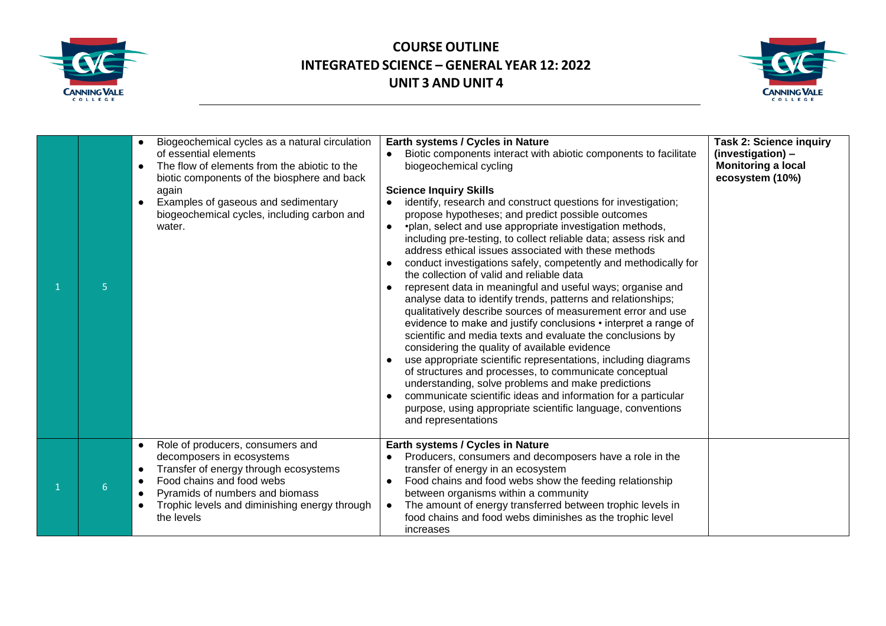



| 5 | Biogeochemical cycles as a natural circulation<br>of essential elements<br>The flow of elements from the abiotic to the<br>biotic components of the biosphere and back<br>again<br>Examples of gaseous and sedimentary<br>$\bullet$<br>biogeochemical cycles, including carbon and<br>water. | Earth systems / Cycles in Nature<br>Biotic components interact with abiotic components to facilitate<br>biogeochemical cycling<br><b>Science Inquiry Skills</b><br>identify, research and construct questions for investigation;<br>propose hypotheses; and predict possible outcomes<br>•plan, select and use appropriate investigation methods,<br>including pre-testing, to collect reliable data; assess risk and<br>address ethical issues associated with these methods<br>conduct investigations safely, competently and methodically for<br>the collection of valid and reliable data<br>represent data in meaningful and useful ways; organise and<br>analyse data to identify trends, patterns and relationships;<br>qualitatively describe sources of measurement error and use<br>evidence to make and justify conclusions • interpret a range of<br>scientific and media texts and evaluate the conclusions by<br>considering the quality of available evidence<br>use appropriate scientific representations, including diagrams<br>of structures and processes, to communicate conceptual<br>understanding, solve problems and make predictions<br>communicate scientific ideas and information for a particular<br>purpose, using appropriate scientific language, conventions<br>and representations | <b>Task 2: Science inquiry</b><br>(investigation) -<br><b>Monitoring a local</b><br>ecosystem (10%) |
|---|----------------------------------------------------------------------------------------------------------------------------------------------------------------------------------------------------------------------------------------------------------------------------------------------|-----------------------------------------------------------------------------------------------------------------------------------------------------------------------------------------------------------------------------------------------------------------------------------------------------------------------------------------------------------------------------------------------------------------------------------------------------------------------------------------------------------------------------------------------------------------------------------------------------------------------------------------------------------------------------------------------------------------------------------------------------------------------------------------------------------------------------------------------------------------------------------------------------------------------------------------------------------------------------------------------------------------------------------------------------------------------------------------------------------------------------------------------------------------------------------------------------------------------------------------------------------------------------------------------------------------------|-----------------------------------------------------------------------------------------------------|
| 6 | Role of producers, consumers and<br>$\bullet$<br>decomposers in ecosystems<br>Transfer of energy through ecosystems<br>Food chains and food webs<br>Pyramids of numbers and biomass<br>Trophic levels and diminishing energy through<br>the levels                                           | Earth systems / Cycles in Nature<br>Producers, consumers and decomposers have a role in the<br>transfer of energy in an ecosystem<br>Food chains and food webs show the feeding relationship<br>between organisms within a community<br>The amount of energy transferred between trophic levels in<br>food chains and food webs diminishes as the trophic level<br>increases                                                                                                                                                                                                                                                                                                                                                                                                                                                                                                                                                                                                                                                                                                                                                                                                                                                                                                                                          |                                                                                                     |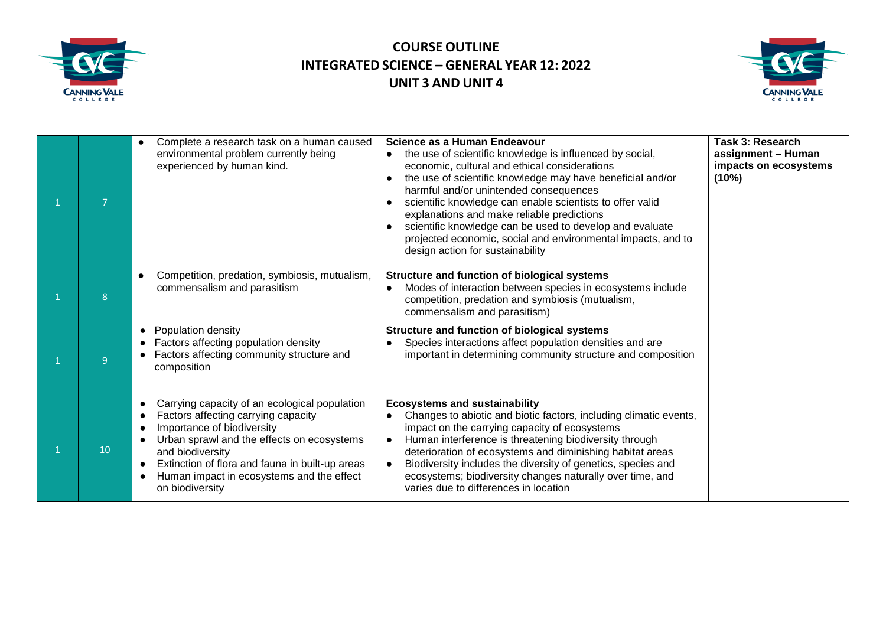



|                | Complete a research task on a human caused<br>environmental problem currently being<br>experienced by human kind.                                                                                                                                                                                                                                                        | Science as a Human Endeavour<br>the use of scientific knowledge is influenced by social,<br>economic, cultural and ethical considerations<br>the use of scientific knowledge may have beneficial and/or<br>$\bullet$<br>harmful and/or unintended consequences<br>scientific knowledge can enable scientists to offer valid<br>explanations and make reliable predictions<br>scientific knowledge can be used to develop and evaluate<br>projected economic, social and environmental impacts, and to<br>design action for sustainability | Task 3: Research<br>assignment - Human<br>impacts on ecosystems<br>(10%) |
|----------------|--------------------------------------------------------------------------------------------------------------------------------------------------------------------------------------------------------------------------------------------------------------------------------------------------------------------------------------------------------------------------|-------------------------------------------------------------------------------------------------------------------------------------------------------------------------------------------------------------------------------------------------------------------------------------------------------------------------------------------------------------------------------------------------------------------------------------------------------------------------------------------------------------------------------------------|--------------------------------------------------------------------------|
| 8              | Competition, predation, symbiosis, mutualism,<br>commensalism and parasitism                                                                                                                                                                                                                                                                                             | Structure and function of biological systems<br>Modes of interaction between species in ecosystems include<br>$\bullet$<br>competition, predation and symbiosis (mutualism,<br>commensalism and parasitism)                                                                                                                                                                                                                                                                                                                               |                                                                          |
| $\overline{9}$ | Population density<br>$\bullet$<br>Factors affecting population density<br>Factors affecting community structure and<br>composition                                                                                                                                                                                                                                      | Structure and function of biological systems<br>Species interactions affect population densities and are<br>important in determining community structure and composition                                                                                                                                                                                                                                                                                                                                                                  |                                                                          |
| 10             | Carrying capacity of an ecological population<br>$\bullet$<br>Factors affecting carrying capacity<br>Importance of biodiversity<br>$\bullet$<br>Urban sprawl and the effects on ecosystems<br>$\bullet$<br>and biodiversity<br>Extinction of flora and fauna in built-up areas<br>$\bullet$<br>Human impact in ecosystems and the effect<br>$\bullet$<br>on biodiversity | <b>Ecosystems and sustainability</b><br>Changes to abiotic and biotic factors, including climatic events,<br>$\bullet$<br>impact on the carrying capacity of ecosystems<br>Human interference is threatening biodiversity through<br>$\bullet$<br>deterioration of ecosystems and diminishing habitat areas<br>Biodiversity includes the diversity of genetics, species and<br>$\bullet$<br>ecosystems; biodiversity changes naturally over time, and<br>varies due to differences in location                                            |                                                                          |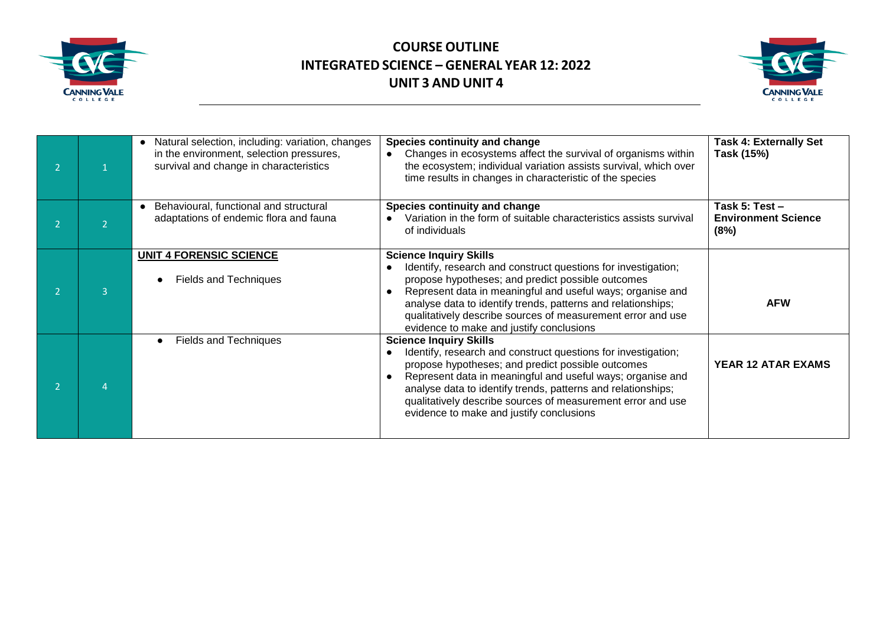



|  | Natural selection, including: variation, changes<br>in the environment, selection pressures,<br>survival and change in characteristics | Species continuity and change<br>Changes in ecosystems affect the survival of organisms within<br>the ecosystem; individual variation assists survival, which over<br>time results in changes in characteristic of the species                                                                                                                                                                            | <b>Task 4: Externally Set</b><br>Task (15%)            |
|--|----------------------------------------------------------------------------------------------------------------------------------------|-----------------------------------------------------------------------------------------------------------------------------------------------------------------------------------------------------------------------------------------------------------------------------------------------------------------------------------------------------------------------------------------------------------|--------------------------------------------------------|
|  | Behavioural, functional and structural<br>adaptations of endemic flora and fauna                                                       | Species continuity and change<br>Variation in the form of suitable characteristics assists survival<br>of individuals                                                                                                                                                                                                                                                                                     | Task 5: Test $-$<br><b>Environment Science</b><br>(8%) |
|  | <b>UNIT 4 FORENSIC SCIENCE</b><br><b>Fields and Techniques</b>                                                                         | <b>Science Inquiry Skills</b><br>Identify, research and construct questions for investigation;<br>propose hypotheses; and predict possible outcomes<br>Represent data in meaningful and useful ways; organise and<br>$\bullet$<br>analyse data to identify trends, patterns and relationships;<br>qualitatively describe sources of measurement error and use<br>evidence to make and justify conclusions | <b>AFW</b>                                             |
|  | <b>Fields and Techniques</b>                                                                                                           | <b>Science Inquiry Skills</b><br>Identify, research and construct questions for investigation;<br>propose hypotheses; and predict possible outcomes<br>Represent data in meaningful and useful ways; organise and<br>analyse data to identify trends, patterns and relationships;<br>qualitatively describe sources of measurement error and use<br>evidence to make and justify conclusions              | YEAR 12 ATAR EXAMS                                     |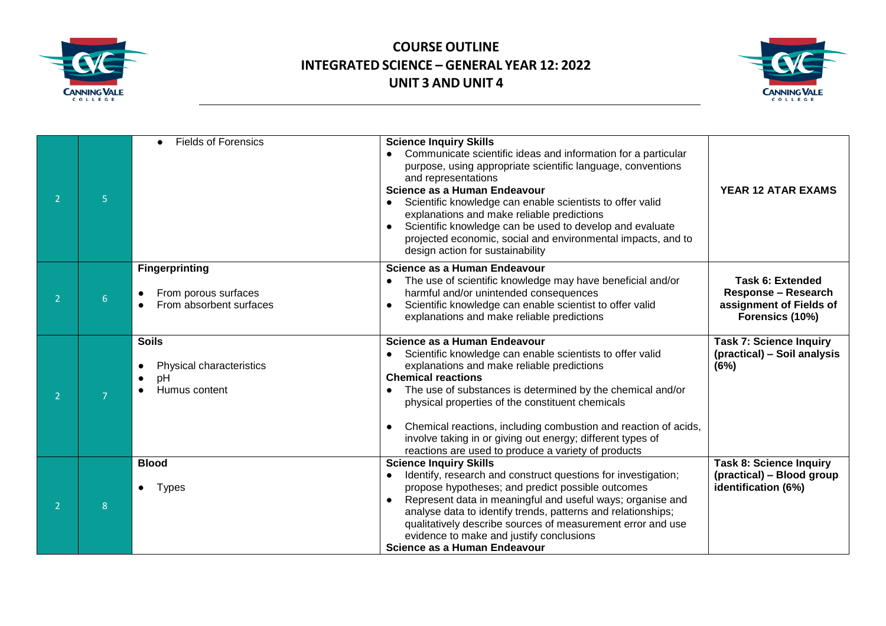



| 5 | <b>Fields of Forensics</b>                                                                             | <b>Science Inquiry Skills</b><br>Communicate scientific ideas and information for a particular<br>purpose, using appropriate scientific language, conventions<br>and representations<br>Science as a Human Endeavour<br>Scientific knowledge can enable scientists to offer valid<br>explanations and make reliable predictions<br>Scientific knowledge can be used to develop and evaluate<br>projected economic, social and environmental impacts, and to<br>design action for sustainability | <b>YEAR 12 ATAR EXAMS</b>                                                                           |
|---|--------------------------------------------------------------------------------------------------------|-------------------------------------------------------------------------------------------------------------------------------------------------------------------------------------------------------------------------------------------------------------------------------------------------------------------------------------------------------------------------------------------------------------------------------------------------------------------------------------------------|-----------------------------------------------------------------------------------------------------|
| 6 | <b>Fingerprinting</b><br>From porous surfaces<br>$\bullet$<br>From absorbent surfaces                  | Science as a Human Endeavour<br>The use of scientific knowledge may have beneficial and/or<br>harmful and/or unintended consequences<br>Scientific knowledge can enable scientist to offer valid<br>explanations and make reliable predictions                                                                                                                                                                                                                                                  | <b>Task 6: Extended</b><br><b>Response - Research</b><br>assignment of Fields of<br>Forensics (10%) |
|   | <b>Soils</b><br>Physical characteristics<br>$\bullet$<br>pH<br>$\bullet$<br>Humus content<br>$\bullet$ | Science as a Human Endeavour<br>Scientific knowledge can enable scientists to offer valid<br>explanations and make reliable predictions<br><b>Chemical reactions</b><br>The use of substances is determined by the chemical and/or<br>physical properties of the constituent chemicals<br>Chemical reactions, including combustion and reaction of acids,<br>$\bullet$<br>involve taking in or giving out energy; different types of<br>reactions are used to produce a variety of products     | <b>Task 7: Science Inquiry</b><br>(practical) - Soil analysis<br>(6%)                               |
| 8 | <b>Blood</b><br>Types<br>$\bullet$                                                                     | <b>Science Inquiry Skills</b><br>Identify, research and construct questions for investigation;<br>propose hypotheses; and predict possible outcomes<br>Represent data in meaningful and useful ways; organise and<br>$\bullet$<br>analyse data to identify trends, patterns and relationships;<br>qualitatively describe sources of measurement error and use<br>evidence to make and justify conclusions<br>Science as a Human Endeavour                                                       | <b>Task 8: Science Inquiry</b><br>(practical) - Blood group<br>identification (6%)                  |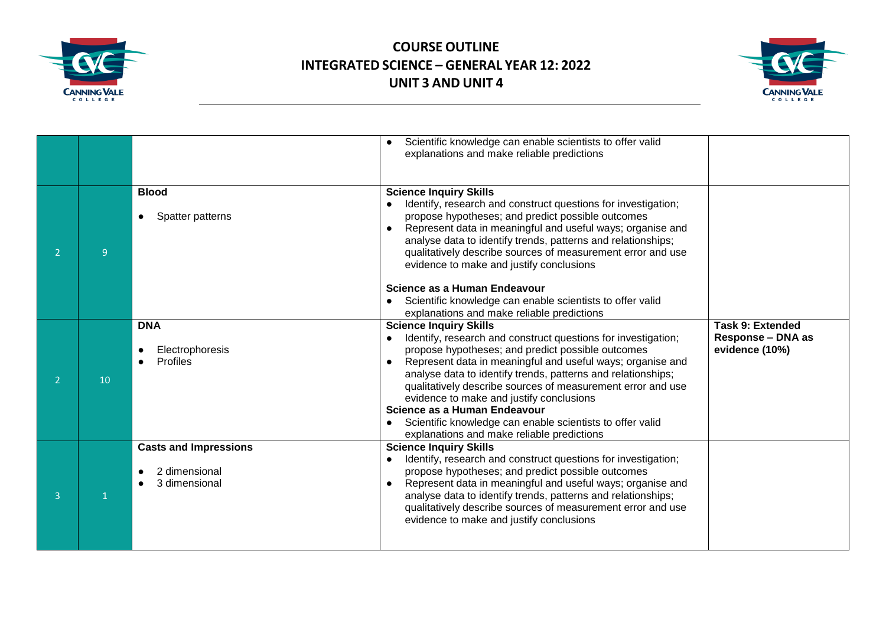



|                |                |                                                                | Scientific knowledge can enable scientists to offer valid<br>explanations and make reliable predictions                                                                                                                                                                                                                                                                                                                                                                                                                                 |                                                                       |
|----------------|----------------|----------------------------------------------------------------|-----------------------------------------------------------------------------------------------------------------------------------------------------------------------------------------------------------------------------------------------------------------------------------------------------------------------------------------------------------------------------------------------------------------------------------------------------------------------------------------------------------------------------------------|-----------------------------------------------------------------------|
| $\mathcal{P}$  | $\overline{9}$ | <b>Blood</b><br>Spatter patterns                               | <b>Science Inquiry Skills</b><br>Identify, research and construct questions for investigation;<br>propose hypotheses; and predict possible outcomes<br>Represent data in meaningful and useful ways; organise and<br>analyse data to identify trends, patterns and relationships;<br>qualitatively describe sources of measurement error and use<br>evidence to make and justify conclusions<br>Science as a Human Endeavour                                                                                                            |                                                                       |
|                |                |                                                                | Scientific knowledge can enable scientists to offer valid<br>explanations and make reliable predictions                                                                                                                                                                                                                                                                                                                                                                                                                                 |                                                                       |
| $\mathcal{P}$  | 10             | <b>DNA</b><br>Electrophoresis<br>Profiles                      | <b>Science Inquiry Skills</b><br>Identify, research and construct questions for investigation;<br>propose hypotheses; and predict possible outcomes<br>Represent data in meaningful and useful ways; organise and<br>analyse data to identify trends, patterns and relationships;<br>qualitatively describe sources of measurement error and use<br>evidence to make and justify conclusions<br>Science as a Human Endeavour<br>Scientific knowledge can enable scientists to offer valid<br>explanations and make reliable predictions | <b>Task 9: Extended</b><br><b>Response - DNA as</b><br>evidence (10%) |
| $\overline{3}$ |                | <b>Casts and Impressions</b><br>2 dimensional<br>3 dimensional | <b>Science Inquiry Skills</b><br>Identify, research and construct questions for investigation;<br>propose hypotheses; and predict possible outcomes<br>Represent data in meaningful and useful ways; organise and<br>analyse data to identify trends, patterns and relationships;<br>qualitatively describe sources of measurement error and use<br>evidence to make and justify conclusions                                                                                                                                            |                                                                       |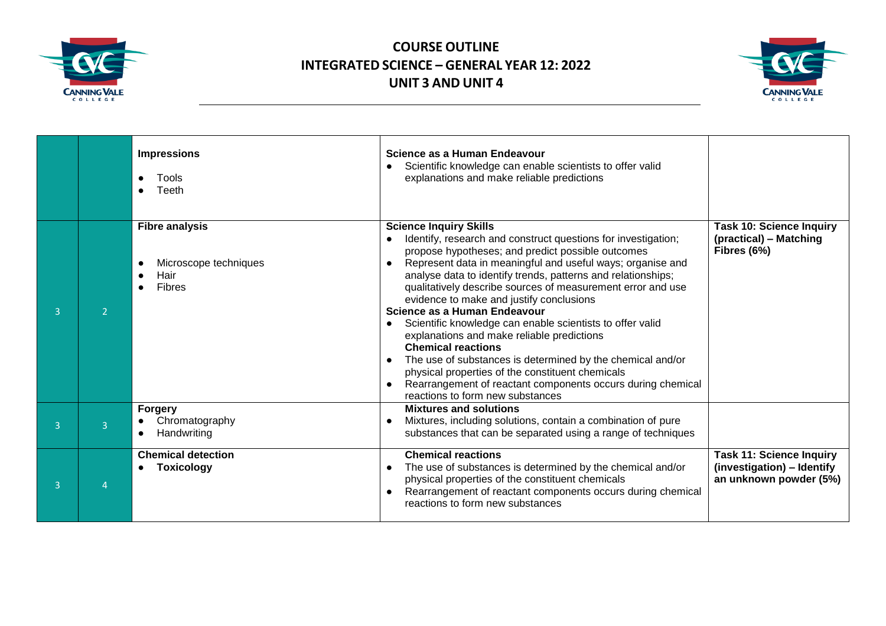



|   | <b>Impressions</b><br>Tools<br>Teeth                             | Science as a Human Endeavour<br>Scientific knowledge can enable scientists to offer valid<br>explanations and make reliable predictions                                                                                                                                                                                                                                                                                                                                                                                                                                                                                                                                                                                                                                                   |                                                                                         |
|---|------------------------------------------------------------------|-------------------------------------------------------------------------------------------------------------------------------------------------------------------------------------------------------------------------------------------------------------------------------------------------------------------------------------------------------------------------------------------------------------------------------------------------------------------------------------------------------------------------------------------------------------------------------------------------------------------------------------------------------------------------------------------------------------------------------------------------------------------------------------------|-----------------------------------------------------------------------------------------|
| 3 | <b>Fibre analysis</b><br>Microscope techniques<br>Hair<br>Fibres | <b>Science Inquiry Skills</b><br>Identify, research and construct questions for investigation;<br>propose hypotheses; and predict possible outcomes<br>Represent data in meaningful and useful ways; organise and<br>analyse data to identify trends, patterns and relationships;<br>qualitatively describe sources of measurement error and use<br>evidence to make and justify conclusions<br>Science as a Human Endeavour<br>Scientific knowledge can enable scientists to offer valid<br>explanations and make reliable predictions<br><b>Chemical reactions</b><br>The use of substances is determined by the chemical and/or<br>physical properties of the constituent chemicals<br>Rearrangement of reactant components occurs during chemical<br>reactions to form new substances | <b>Task 10: Science Inquiry</b><br>(practical) - Matching<br>Fibres (6%)                |
| 3 | <b>Forgery</b><br>Chromatography<br>Handwriting                  | <b>Mixtures and solutions</b><br>Mixtures, including solutions, contain a combination of pure<br>substances that can be separated using a range of techniques                                                                                                                                                                                                                                                                                                                                                                                                                                                                                                                                                                                                                             |                                                                                         |
| 3 | <b>Chemical detection</b><br><b>Toxicology</b>                   | <b>Chemical reactions</b><br>The use of substances is determined by the chemical and/or<br>physical properties of the constituent chemicals<br>Rearrangement of reactant components occurs during chemical<br>reactions to form new substances                                                                                                                                                                                                                                                                                                                                                                                                                                                                                                                                            | <b>Task 11: Science Inquiry</b><br>(investigation) - Identify<br>an unknown powder (5%) |